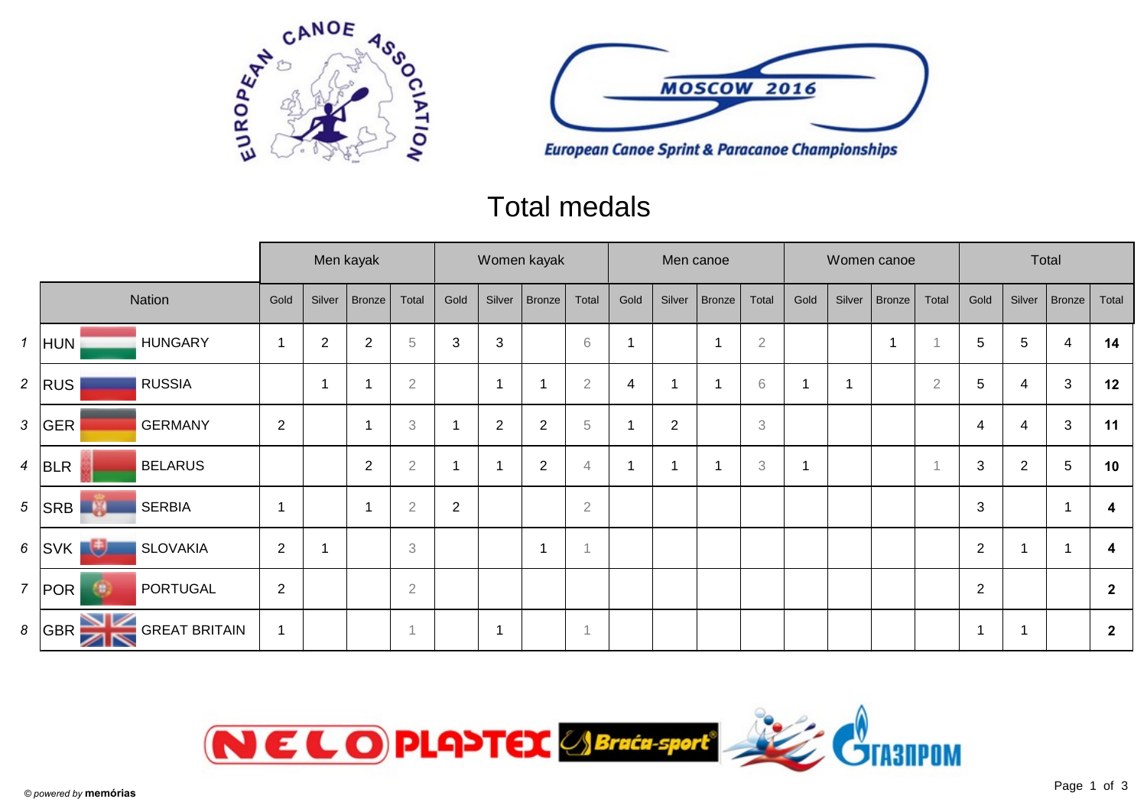



# Total medals

|                |                                     |                          |                | Men kayak               |                | Women kayak    |                |                |                |                | Men canoe               |               |                           |      |        | Women canoe |                | Total           |                |                |                |
|----------------|-------------------------------------|--------------------------|----------------|-------------------------|----------------|----------------|----------------|----------------|----------------|----------------|-------------------------|---------------|---------------------------|------|--------|-------------|----------------|-----------------|----------------|----------------|----------------|
| Nation         |                                     | Gold                     | Silver         | <b>Bronze</b>           | Total          | Gold           | Silver         | <b>Bronze</b>  | Total          | Gold           | Silver                  | <b>Bronze</b> | Total                     | Gold | Silver | Bronze      | Total          | Gold            | Silver         | Bronze         | Total          |
|                | $1$ HUN<br><b>HUNGARY</b>           | $\overline{\phantom{a}}$ | $\overline{2}$ | $\overline{2}$          | $\sqrt{5}$     | 3              | $\mathbf{3}$   |                | $6\,$          |                |                         |               | $\sqrt{2}$                |      |        | 1           |                | $5\phantom{.0}$ | 5              | 4              | 14             |
| $\overline{a}$ | <b>RUSSIA</b><br>RUS                |                          | -1             |                         | $\overline{2}$ |                | $\overline{1}$ |                | $\overline{2}$ | $\overline{4}$ | $\overline{\mathbf{1}}$ |               | 6                         |      |        |             | $\overline{2}$ | $5\phantom{.0}$ | 4              | 3              | 12             |
| 3              | GER<br><b>GERMANY</b>               | 2                        |                | $\overline{\mathbf{1}}$ | $\,$ 3 $\,$    |                | $\overline{2}$ | 2              | 5              |                | $\overline{2}$          |               | $\ensuremath{\mathsf{3}}$ |      |        |             |                | 4               | 4              | $\mathfrak{B}$ | 11             |
|                | 4 BLR<br><b>BELARUS</b>             |                          |                | 2                       | $\sqrt{2}$     |                |                | $\overline{2}$ | $\overline{4}$ |                | $\overline{\mathbf{1}}$ |               | $\,3$                     |      |        |             |                | 3               | $\overline{2}$ | 5              | 10             |
| 5              | <b>SERBIA</b><br> SRB <br><u>ng</u> | $\overline{\phantom{a}}$ |                |                         | $\sqrt{2}$     | $\overline{2}$ |                |                | $\sqrt{2}$     |                |                         |               |                           |      |        |             |                | $\sqrt{3}$      |                | -1             | 4              |
| 6              | 週<br> SVK <br><b>SLOVAKIA</b>       | $\overline{2}$           |                |                         | 3              |                |                | f.             |                |                |                         |               |                           |      |        |             |                | 2               |                |                | 4              |
| $\overline{7}$ | POR <br>PORTUGAL<br>đΘ,             | $\overline{2}$           |                |                         | $\sqrt{2}$     |                |                |                |                |                |                         |               |                           |      |        |             |                | 2               |                |                | $\overline{2}$ |
| 8              | GBR<br><b>GREAT BRITAIN</b><br>↗    | $\overline{\mathbf{1}}$  |                |                         |                |                | $\overline{ }$ |                | $\overline{A}$ |                |                         |               |                           |      |        |             |                | 1               |                |                | $\overline{2}$ |

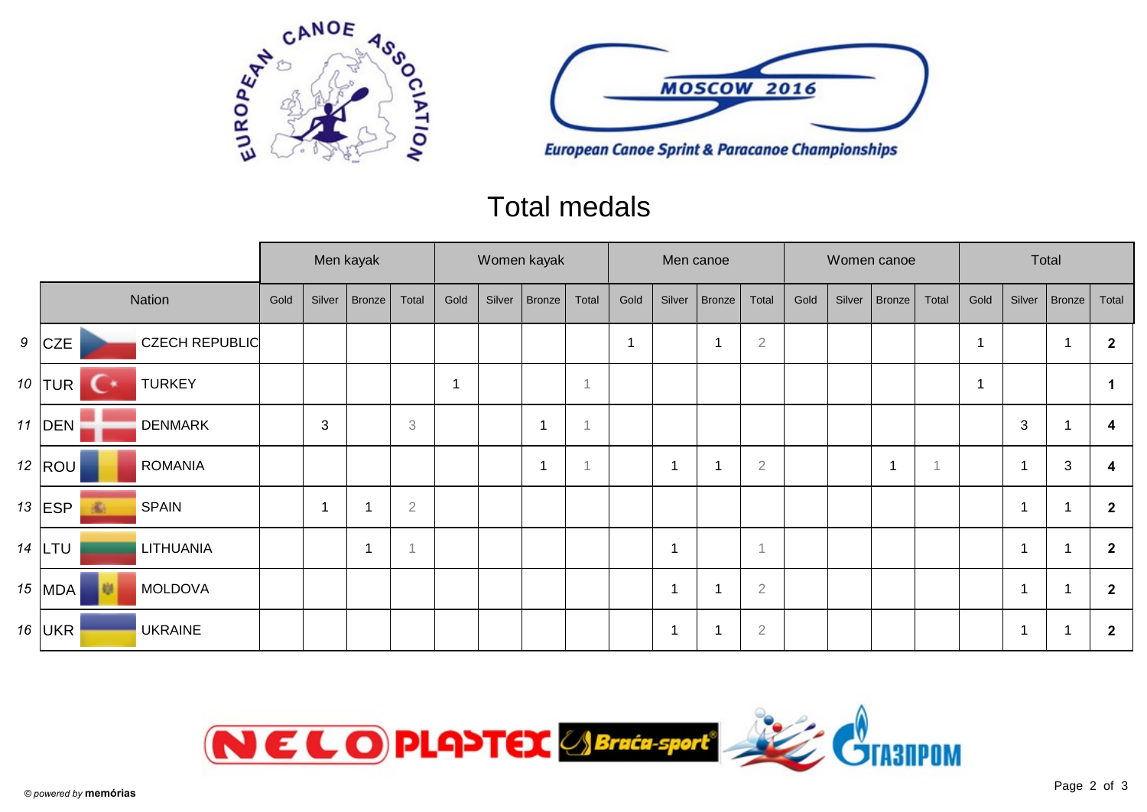



## Total medals

|  |                  |                       | Men kayak |                          |        |                           | Women kayak |        |        |       | Men canoe               |                          |               |                |      |        | Women canoe |       | Total |        |                |                |
|--|------------------|-----------------------|-----------|--------------------------|--------|---------------------------|-------------|--------|--------|-------|-------------------------|--------------------------|---------------|----------------|------|--------|-------------|-------|-------|--------|----------------|----------------|
|  |                  | Nation                | Gold      | Silver                   | Bronze | Total                     | Gold        | Silver | Bronze | Total | Gold                    | Silver                   | <b>Bronze</b> | Total          | Gold | Silver | Bronze      | Total | Gold  | Silver | Bronze         | Total          |
|  | $9$ CZE          | <b>CZECH REPUBLIC</b> |           |                          |        |                           |             |        |        |       | $\overline{\mathbf{1}}$ |                          |               | $\sqrt{2}$     |      |        |             |       |       |        | $\overline{1}$ | $\mathbf{2}$   |
|  | 10 TUR<br>. .    | <b>TURKEY</b>         |           |                          |        |                           |             |        |        |       |                         |                          |               |                |      |        |             |       |       |        |                |                |
|  | 11 $ $ DEN       | <b>DENMARK</b>        |           | 3                        |        | $\ensuremath{\mathbf{3}}$ |             |        | -1     |       |                         |                          |               |                |      |        |             |       |       | 3      |                | 4              |
|  | 12 $ $ ROU $ $   | <b>ROMANIA</b>        |           |                          |        |                           |             |        | -1     |       |                         | 1                        |               | $\overline{2}$ |      |        | 1           |       |       | 1      | $\mathbf{3}$   | 4              |
|  | 13 $ ESP $<br>Æ. | <b>SPAIN</b>          |           | $\overline{\phantom{a}}$ |        | $\overline{2}$            |             |        |        |       |                         |                          |               |                |      |        |             |       |       | 1      |                | $\overline{2}$ |
|  | 14 $LTU$         | LITHUANIA             |           |                          | -1     | и                         |             |        |        |       |                         | 1                        |               | $\overline{1}$ |      |        |             |       |       | 1      |                | $\overline{2}$ |
|  | 15 $ MDA$        | <b>MOLDOVA</b>        |           |                          |        |                           |             |        |        |       |                         | $\overline{\phantom{a}}$ |               | $\overline{2}$ |      |        |             |       |       | 1      |                | $\overline{2}$ |
|  | 16 $ UKR$        | <b>UKRAINE</b>        |           |                          |        |                           |             |        |        |       |                         | $\overline{1}$           |               | $\sqrt{2}$     |      |        |             |       |       | 1      |                | $\mathbf{2}$   |